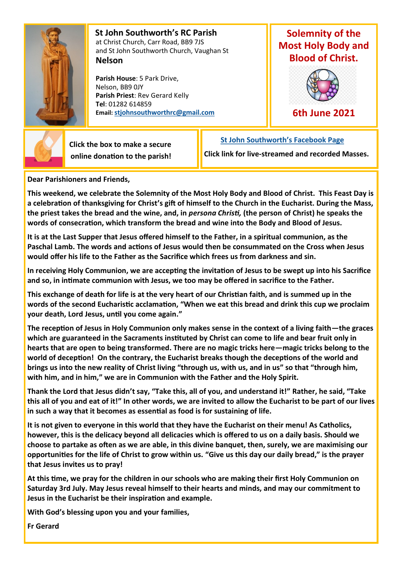

 **St John Southworth's RC Parish** at Christ Church, Carr Road, BB9 7JS and St John Southworth Church, Vaughan St **Nelson**

 **Parish House**: 5 Park Drive, Nelson, BB9 0JY **Parish Priest**: Rev Gerard Kelly **Tel**: 01282 614859 **Email: [stjohnsouthworthrc@gmail.com](mailto:stjohnsouthworth@gmail.com)**

## **Solemnity of the Most Holy Body and Blood of Christ.**



**6th June 2021**



 **Click the box to make a secure online donation to the parish!**

 **[St John Southworth's Facebook Page](https://www.facebook.com/Parish-of-St-John-Southworth-in-Nelson-105718084323986) Click link for live-streamed and recorded Masses.**

**Dear Parishioners and Friends,**

**This weekend, we celebrate the Solemnity of the Most Holy Body and Blood of Christ. This Feast Day is a celebration of thanksgiving for Christ's gift of himself to the Church in the Eucharist. During the Mass, the priest takes the bread and the wine, and, in** *persona Christi,* **(the person of Christ) he speaks the words of consecration, which transform the bread and wine into the Body and Blood of Jesus.**

**It is at the Last Supper that Jesus offered himself to the Father, in a spiritual communion, as the Paschal Lamb. The words and actions of Jesus would then be consummated on the Cross when Jesus would offer his life to the Father as the Sacrifice which frees us from darkness and sin.**

**In receiving Holy Communion, we are accepting the invitation of Jesus to be swept up into his Sacrifice and so, in intimate communion with Jesus, we too may be offered in sacrifice to the Father.**

**This exchange of death for life is at the very heart of our Christian faith, and is summed up in the words of the second Eucharistic acclamation, "When we eat this bread and drink this cup we proclaim your death, Lord Jesus, until you come again."**

**The reception of Jesus in Holy Communion only makes sense in the context of a living faith—the graces which are guaranteed in the Sacraments instituted by Christ can come to life and bear fruit only in hearts that are open to being transformed. There are no magic tricks here—magic tricks belong to the world of deception! On the contrary, the Eucharist breaks though the deceptions of the world and brings us into the new reality of Christ living "through us, with us, and in us" so that "through him, with him, and in him," we are in Communion with the Father and the Holy Spirit.**

**Thank the Lord that Jesus didn't say, "Take this, all of you, and understand it!" Rather, he said, "Take this all of you and eat of it!" In other words, we are invited to allow the Eucharist to be part of our lives in such a way that it becomes as essential as food is for sustaining of life.**

**It is not given to everyone in this world that they have the Eucharist on their menu! As Catholics, however, this is the delicacy beyond all delicacies which is offered to us on a daily basis. Should we choose to partake as often as we are able, in this divine banquet, then, surely, we are maximising our opportunities for the life of Christ to grow within us. "Give us this day our daily bread," is the prayer that Jesus invites us to pray!**

**At this time, we pray for the children in our schools who are making their first Holy Communion on Saturday 3rd July. May Jesus reveal himself to their hearts and minds, and may our commitment to Jesus in the Eucharist be their inspiration and example.**

**With God's blessing upon you and your families,**

**Fr Gerard**